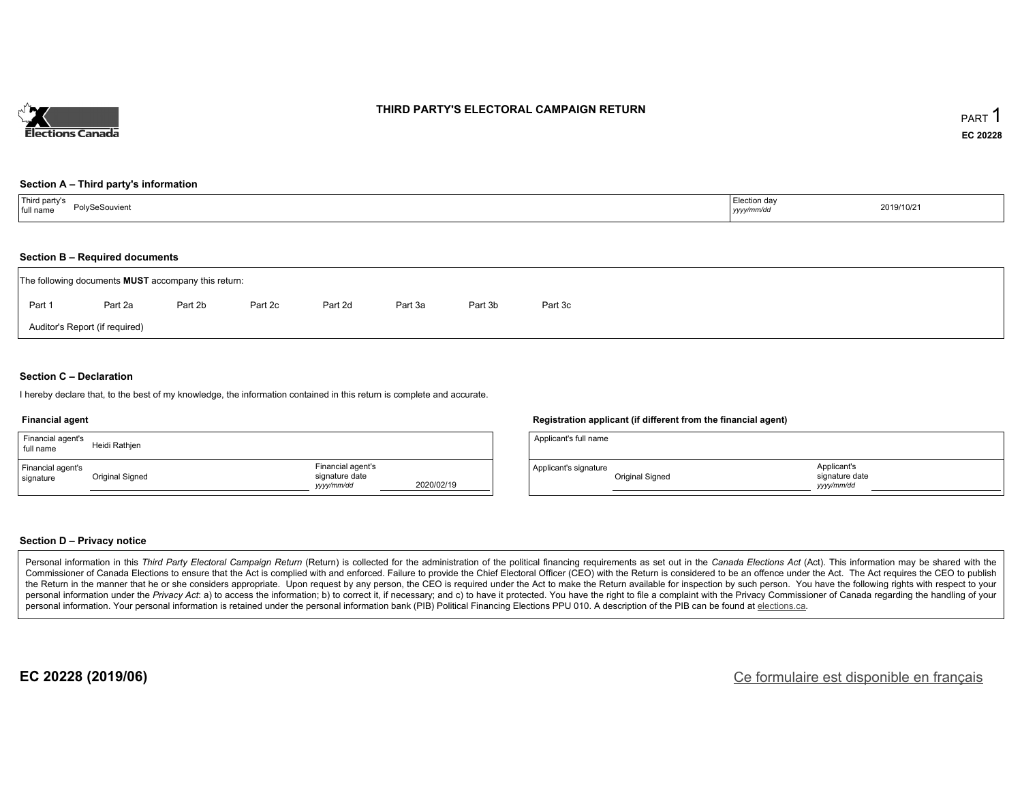

### **THIRD PARTY'S ELECTORAL CAMPAIGN RETURN**

#### **Section A – Third party's information**

| Third party's<br>full name<br>PolvSeSouvient<br>-------- | Election day<br>yyyy/mm/dd | 2019/10/21 |
|----------------------------------------------------------|----------------------------|------------|
|----------------------------------------------------------|----------------------------|------------|

#### **Section B – Required documents**

| The following documents <b>MUST</b> accompany this return: |                                |         |         |         |         |         |         |  |  |  |
|------------------------------------------------------------|--------------------------------|---------|---------|---------|---------|---------|---------|--|--|--|
| Part 1                                                     | Part 2a                        | Part 2b | Part 2c | Part 2d | Part 3a | Part 3b | Part 3c |  |  |  |
|                                                            | Auditor's Report (if required) |         |         |         |         |         |         |  |  |  |

### **Section C – Declaration**

I hereby declare that, to the best of my knowledge, the information contained in this return is complete and accurate.

#### **Financial agent**

| Financial agent's<br>full name | Heidi Rathjen   |                                                   |            |
|--------------------------------|-----------------|---------------------------------------------------|------------|
| Financial agent's<br>signature | Original Signed | Financial agent's<br>signature date<br>yyyy/mm/dd | 2020/02/19 |

#### **Registration applicant (if different from the financial agent)**

| Applicant's full name |                 |                                             |  |
|-----------------------|-----------------|---------------------------------------------|--|
| Applicant's signature | Original Signed | Applicant's<br>signature date<br>vyyy/mm/dd |  |

#### **Section D – Privacy notice**

Personal information in this Third Party Electoral Campaign Return (Return) is collected for the administration of the political financing requirements as set out in the Canada Elections Act (Act). This information may be Commissioner of Canada Elections to ensure that the Act is complied with and enforced. Failure to provide the Chief Electoral Officer (CEO) with the Return is considered to be an offence under the Act. The Act requires the the Return in the manner that he or she considers appropriate. Upon request by any person, the CEO is required under the Act to make the Return available for inspection by such person. You have the following rights with re personal information under the Privacy Act: a) to access the information; b) to correct it, if necessary; and c) to have it protected. You have the right to file a complaint with the Privacy Commissioner of Canada regardin personal information. Your personal information is retained under the personal information bank (PIB) Political Financing Elections PPU 010. A description of the PIB can be found at elections.ca.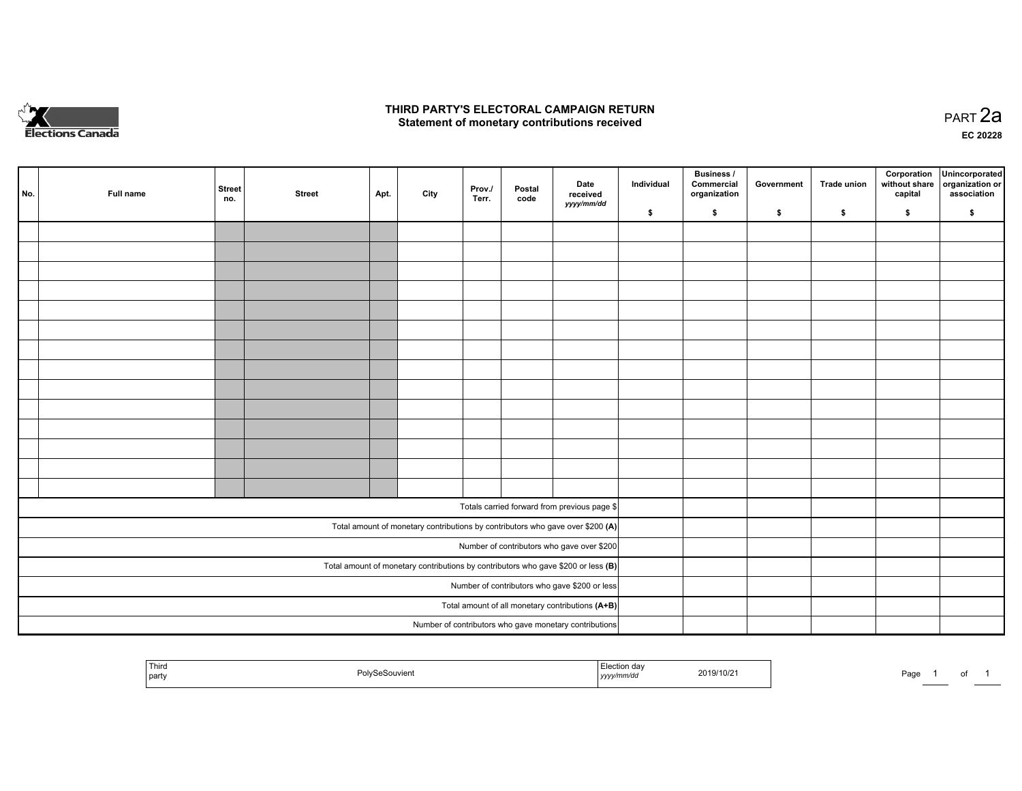

### **THIRD PARTY'S ELECTORAL CAMPAIGN RETURN HIRD PARTY'S ELECTORAL CAMPAIGN RETURN<br>Statement of monetary contributions received PART 2a PART 2a**

**EC 20228**

| No. | Full name | <b>Street</b><br>no. | <b>Street</b> | Apt. | City | Prov./<br>Terr. | Postal<br>code | Date<br>received                                                                    | Individual | <b>Business /</b><br>Commercial<br>organization | Government | Trade union | Corporation<br>without share<br>capital | Unincorporated<br>organization or<br>association |
|-----|-----------|----------------------|---------------|------|------|-----------------|----------------|-------------------------------------------------------------------------------------|------------|-------------------------------------------------|------------|-------------|-----------------------------------------|--------------------------------------------------|
|     |           |                      |               |      |      |                 |                | yyyy/mm/dd                                                                          | \$         | \$                                              | \$         | \$          | \$                                      | \$                                               |
|     |           |                      |               |      |      |                 |                |                                                                                     |            |                                                 |            |             |                                         |                                                  |
|     |           |                      |               |      |      |                 |                |                                                                                     |            |                                                 |            |             |                                         |                                                  |
|     |           |                      |               |      |      |                 |                |                                                                                     |            |                                                 |            |             |                                         |                                                  |
|     |           |                      |               |      |      |                 |                |                                                                                     |            |                                                 |            |             |                                         |                                                  |
|     |           |                      |               |      |      |                 |                |                                                                                     |            |                                                 |            |             |                                         |                                                  |
|     |           |                      |               |      |      |                 |                |                                                                                     |            |                                                 |            |             |                                         |                                                  |
|     |           |                      |               |      |      |                 |                |                                                                                     |            |                                                 |            |             |                                         |                                                  |
|     |           |                      |               |      |      |                 |                |                                                                                     |            |                                                 |            |             |                                         |                                                  |
|     |           |                      |               |      |      |                 |                |                                                                                     |            |                                                 |            |             |                                         |                                                  |
|     |           |                      |               |      |      |                 |                |                                                                                     |            |                                                 |            |             |                                         |                                                  |
|     |           |                      |               |      |      |                 |                |                                                                                     |            |                                                 |            |             |                                         |                                                  |
|     |           |                      |               |      |      |                 |                |                                                                                     |            |                                                 |            |             |                                         |                                                  |
|     |           |                      |               |      |      |                 |                |                                                                                     |            |                                                 |            |             |                                         |                                                  |
|     |           |                      |               |      |      |                 |                |                                                                                     |            |                                                 |            |             |                                         |                                                  |
|     |           |                      |               |      |      |                 |                | Totals carried forward from previous page \$                                        |            |                                                 |            |             |                                         |                                                  |
|     |           |                      |               |      |      |                 |                | Total amount of monetary contributions by contributors who gave over \$200 (A)      |            |                                                 |            |             |                                         |                                                  |
|     |           |                      |               |      |      |                 |                | Number of contributors who gave over \$200                                          |            |                                                 |            |             |                                         |                                                  |
|     |           |                      |               |      |      |                 |                | Total amount of monetary contributions by contributors who gave \$200 or less $(B)$ |            |                                                 |            |             |                                         |                                                  |
|     |           |                      |               |      |      |                 |                | Number of contributors who gave \$200 or less                                       |            |                                                 |            |             |                                         |                                                  |
|     |           |                      |               |      |      |                 |                | Total amount of all monetary contributions (A+B)                                    |            |                                                 |            |             |                                         |                                                  |
|     |           |                      |               |      |      |                 |                | Number of contributors who gave monetary contributions                              |            |                                                 |            |             |                                         |                                                  |

|  | Third<br>party | $\sum$<br>the contract of the contract of the contract of | . Llaatian dar<br>$\frac{1}{2}$<br>,,,,, | 2019/10/2 | Page | ______ | ັບເ |  |
|--|----------------|-----------------------------------------------------------|------------------------------------------|-----------|------|--------|-----|--|
|--|----------------|-----------------------------------------------------------|------------------------------------------|-----------|------|--------|-----|--|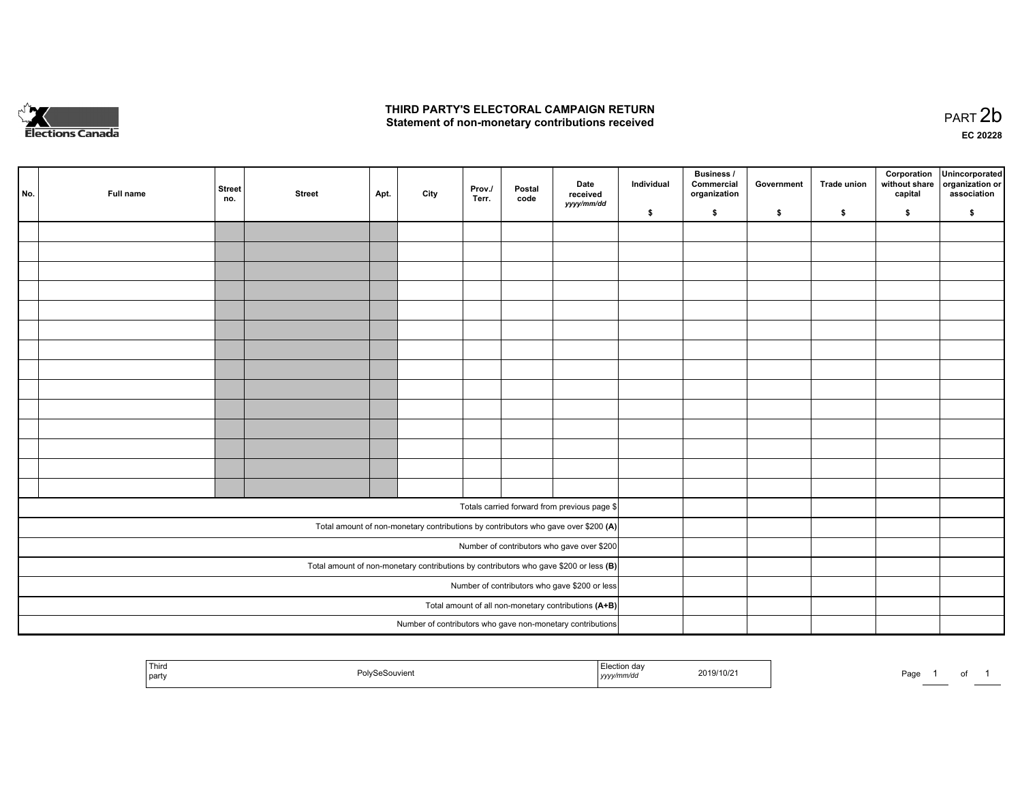

## **THIRD PARTY'S ELECTORAL CAMPAIGN RETURN**  THIRD PARTY'S ELECTORAL CAMPAIGN RETURN<br>Statement of non-monetary contributions received

of 1

| No.                                                  | Full name                                                                               | <b>Street</b><br>no. | <b>Street</b> | Apt. | City | Prov.<br>Terr. | Postal<br>code | Date<br>received<br>yyyy/mm/dd                                                     | Individual | <b>Business /</b><br>Commercial<br>organization | Government | Trade union | Corporation<br>without share<br>capital | Unincorporated<br>organization or<br>association |
|------------------------------------------------------|-----------------------------------------------------------------------------------------|----------------------|---------------|------|------|----------------|----------------|------------------------------------------------------------------------------------|------------|-------------------------------------------------|------------|-------------|-----------------------------------------|--------------------------------------------------|
|                                                      |                                                                                         |                      |               |      |      |                |                |                                                                                    | \$         | \$                                              | \$         | \$          | \$                                      | \$                                               |
|                                                      |                                                                                         |                      |               |      |      |                |                |                                                                                    |            |                                                 |            |             |                                         |                                                  |
|                                                      |                                                                                         |                      |               |      |      |                |                |                                                                                    |            |                                                 |            |             |                                         |                                                  |
|                                                      |                                                                                         |                      |               |      |      |                |                |                                                                                    |            |                                                 |            |             |                                         |                                                  |
|                                                      |                                                                                         |                      |               |      |      |                |                |                                                                                    |            |                                                 |            |             |                                         |                                                  |
|                                                      |                                                                                         |                      |               |      |      |                |                |                                                                                    |            |                                                 |            |             |                                         |                                                  |
|                                                      |                                                                                         |                      |               |      |      |                |                |                                                                                    |            |                                                 |            |             |                                         |                                                  |
|                                                      |                                                                                         |                      |               |      |      |                |                |                                                                                    |            |                                                 |            |             |                                         |                                                  |
|                                                      |                                                                                         |                      |               |      |      |                |                |                                                                                    |            |                                                 |            |             |                                         |                                                  |
|                                                      |                                                                                         |                      |               |      |      |                |                |                                                                                    |            |                                                 |            |             |                                         |                                                  |
|                                                      |                                                                                         |                      |               |      |      |                |                |                                                                                    |            |                                                 |            |             |                                         |                                                  |
|                                                      |                                                                                         |                      |               |      |      |                |                |                                                                                    |            |                                                 |            |             |                                         |                                                  |
|                                                      |                                                                                         |                      |               |      |      |                |                |                                                                                    |            |                                                 |            |             |                                         |                                                  |
|                                                      |                                                                                         |                      |               |      |      |                |                |                                                                                    |            |                                                 |            |             |                                         |                                                  |
|                                                      |                                                                                         |                      |               |      |      |                |                |                                                                                    |            |                                                 |            |             |                                         |                                                  |
|                                                      |                                                                                         |                      |               |      |      |                |                |                                                                                    |            |                                                 |            |             |                                         |                                                  |
|                                                      |                                                                                         |                      |               |      |      |                |                | Totals carried forward from previous page \$                                       |            |                                                 |            |             |                                         |                                                  |
|                                                      |                                                                                         |                      |               |      |      |                |                | Total amount of non-monetary contributions by contributors who gave over \$200 (A) |            |                                                 |            |             |                                         |                                                  |
|                                                      |                                                                                         |                      |               |      |      |                |                | Number of contributors who gave over \$200                                         |            |                                                 |            |             |                                         |                                                  |
|                                                      | Total amount of non-monetary contributions by contributors who gave \$200 or less $(B)$ |                      |               |      |      |                |                |                                                                                    |            |                                                 |            |             |                                         |                                                  |
|                                                      |                                                                                         |                      |               |      |      |                |                | Number of contributors who gave \$200 or less                                      |            |                                                 |            |             |                                         |                                                  |
| Total amount of all non-monetary contributions (A+B) |                                                                                         |                      |               |      |      |                |                |                                                                                    |            |                                                 |            |             |                                         |                                                  |
|                                                      |                                                                                         |                      |               |      |      |                |                | Number of contributors who gave non-monetary contributions                         |            |                                                 |            |             |                                         |                                                  |
|                                                      |                                                                                         |                      |               |      |      |                |                |                                                                                    |            |                                                 |            |             |                                         |                                                  |

| Third<br>and the state of the state of the<br>party | Souvien<br>. | Election<br>dov.<br>ua<br>mmraa<br>,,,,, | 2019/10/21 | Do.<br>aut |  |
|-----------------------------------------------------|--------------|------------------------------------------|------------|------------|--|
|-----------------------------------------------------|--------------|------------------------------------------|------------|------------|--|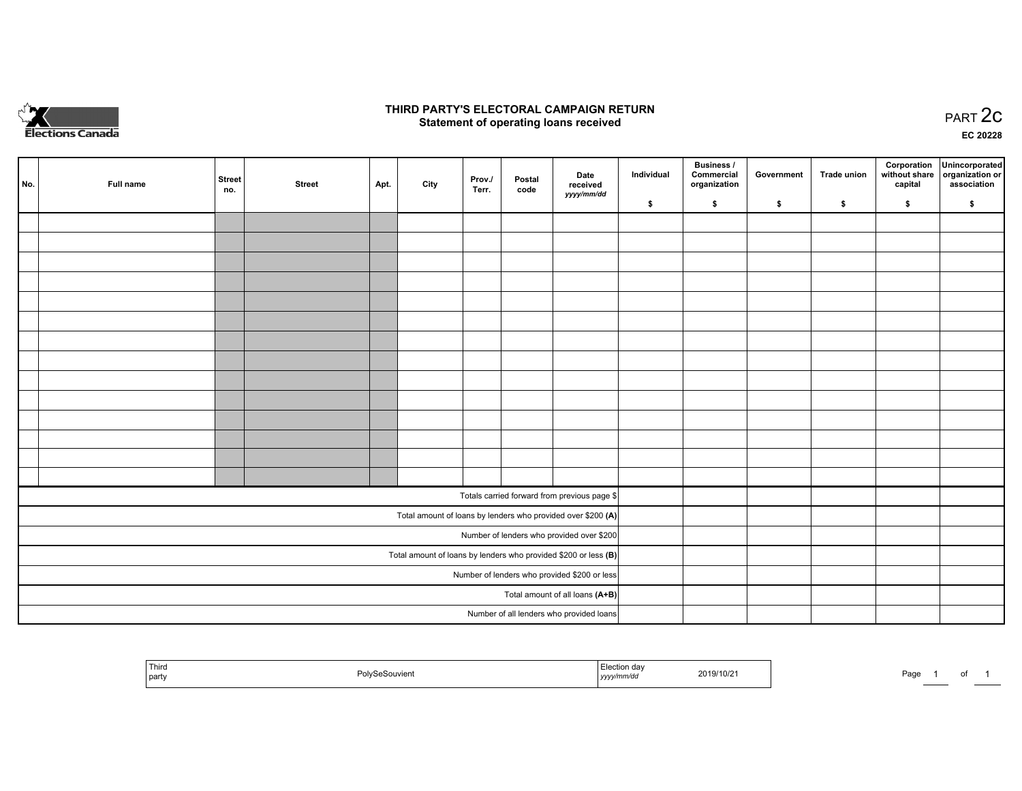

## **THIRD PARTY'S ELECTORAL CAMPAIGN RETURN STATE:** PRACT OF OPPRESS TO PART 2C STATE STATE STATE STATE STATE STATE STATE STATE STATE STATE STATE STATE STA<br>PART 2C Statement of operating loans received

**EC 20228**

| No. | Full name                                                       | <b>Street</b><br>no. | <b>Street</b> | Apt. | City | Prov./<br>Terr. | Postal<br>code | Date<br>received                                             | Individual | <b>Business /</b><br>Commercial<br>organization | Government | <b>Trade union</b> | Corporation<br>capital | Unincorporated<br>without share organization or<br>association |
|-----|-----------------------------------------------------------------|----------------------|---------------|------|------|-----------------|----------------|--------------------------------------------------------------|------------|-------------------------------------------------|------------|--------------------|------------------------|----------------------------------------------------------------|
|     |                                                                 |                      |               |      |      |                 |                | yyyy/mm/dd                                                   | \$         | \$                                              | \$         | \$                 | \$                     | \$                                                             |
|     |                                                                 |                      |               |      |      |                 |                |                                                              |            |                                                 |            |                    |                        |                                                                |
|     |                                                                 |                      |               |      |      |                 |                |                                                              |            |                                                 |            |                    |                        |                                                                |
|     |                                                                 |                      |               |      |      |                 |                |                                                              |            |                                                 |            |                    |                        |                                                                |
|     |                                                                 |                      |               |      |      |                 |                |                                                              |            |                                                 |            |                    |                        |                                                                |
|     |                                                                 |                      |               |      |      |                 |                |                                                              |            |                                                 |            |                    |                        |                                                                |
|     |                                                                 |                      |               |      |      |                 |                |                                                              |            |                                                 |            |                    |                        |                                                                |
|     |                                                                 |                      |               |      |      |                 |                |                                                              |            |                                                 |            |                    |                        |                                                                |
|     |                                                                 |                      |               |      |      |                 |                |                                                              |            |                                                 |            |                    |                        |                                                                |
|     |                                                                 |                      |               |      |      |                 |                |                                                              |            |                                                 |            |                    |                        |                                                                |
|     |                                                                 |                      |               |      |      |                 |                |                                                              |            |                                                 |            |                    |                        |                                                                |
|     |                                                                 |                      |               |      |      |                 |                |                                                              |            |                                                 |            |                    |                        |                                                                |
|     |                                                                 |                      |               |      |      |                 |                |                                                              |            |                                                 |            |                    |                        |                                                                |
|     |                                                                 |                      |               |      |      |                 |                |                                                              |            |                                                 |            |                    |                        |                                                                |
|     |                                                                 |                      |               |      |      |                 |                |                                                              |            |                                                 |            |                    |                        |                                                                |
|     |                                                                 |                      |               |      |      |                 |                | Totals carried forward from previous page \$                 |            |                                                 |            |                    |                        |                                                                |
|     |                                                                 |                      |               |      |      |                 |                | Total amount of loans by lenders who provided over \$200 (A) |            |                                                 |            |                    |                        |                                                                |
|     |                                                                 |                      |               |      |      |                 |                | Number of lenders who provided over \$200                    |            |                                                 |            |                    |                        |                                                                |
|     | Total amount of loans by lenders who provided \$200 or less (B) |                      |               |      |      |                 |                |                                                              |            |                                                 |            |                    |                        |                                                                |
|     |                                                                 |                      |               |      |      |                 |                | Number of lenders who provided \$200 or less                 |            |                                                 |            |                    |                        |                                                                |
|     |                                                                 |                      |               |      |      |                 |                | Total amount of all loans (A+B)                              |            |                                                 |            |                    |                        |                                                                |
|     |                                                                 |                      |               |      |      |                 |                | Number of all lenders who provided loans                     |            |                                                 |            |                    |                        |                                                                |

| Third<br>. .<br>2019/10/2<br>party<br>1 V I U<br>. | Page<br>. |
|----------------------------------------------------|-----------|
|----------------------------------------------------|-----------|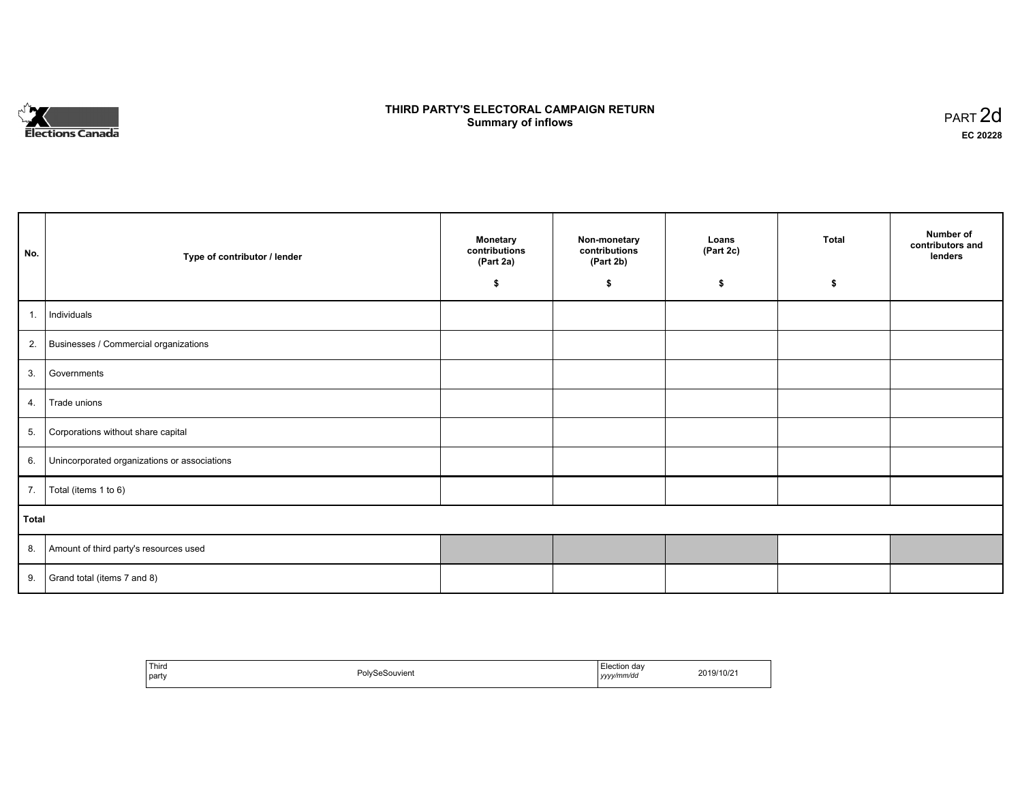

## **THIRD PARTY'S ELECTORAL CAMPAIGN RETURN S** ELECTORAL CAMPAIGN RETURN<br>Summary of inflows PART 2d

| No.   | Type of contributor / lender                    | <b>Monetary</b><br>contributions<br>(Part 2a) | Non-monetary<br>contributions<br>(Part 2b) | Loans<br>(Part 2c) | <b>Total</b> | Number of<br>contributors and<br>lenders |
|-------|-------------------------------------------------|-----------------------------------------------|--------------------------------------------|--------------------|--------------|------------------------------------------|
|       |                                                 | \$                                            | \$                                         | \$                 | \$           |                                          |
| 1.    | Individuals                                     |                                               |                                            |                    |              |                                          |
|       | 2. Businesses / Commercial organizations        |                                               |                                            |                    |              |                                          |
| 3.    | Governments                                     |                                               |                                            |                    |              |                                          |
|       | 4. Trade unions                                 |                                               |                                            |                    |              |                                          |
| 5.    | Corporations without share capital              |                                               |                                            |                    |              |                                          |
|       | 6. Unincorporated organizations or associations |                                               |                                            |                    |              |                                          |
|       | 7.   Total (items 1 to 6)                       |                                               |                                            |                    |              |                                          |
| Total |                                                 |                                               |                                            |                    |              |                                          |
|       | 8. Amount of third party's resources used       |                                               |                                            |                    |              |                                          |
|       | 9. Grand total (items $7$ and $8$ )             |                                               |                                            |                    |              |                                          |

| `Third<br>the contract of the contract of<br>  party | PolySeSouvient | Election day<br>yyyy/mm/dd | 2019/10/21 |
|------------------------------------------------------|----------------|----------------------------|------------|
|------------------------------------------------------|----------------|----------------------------|------------|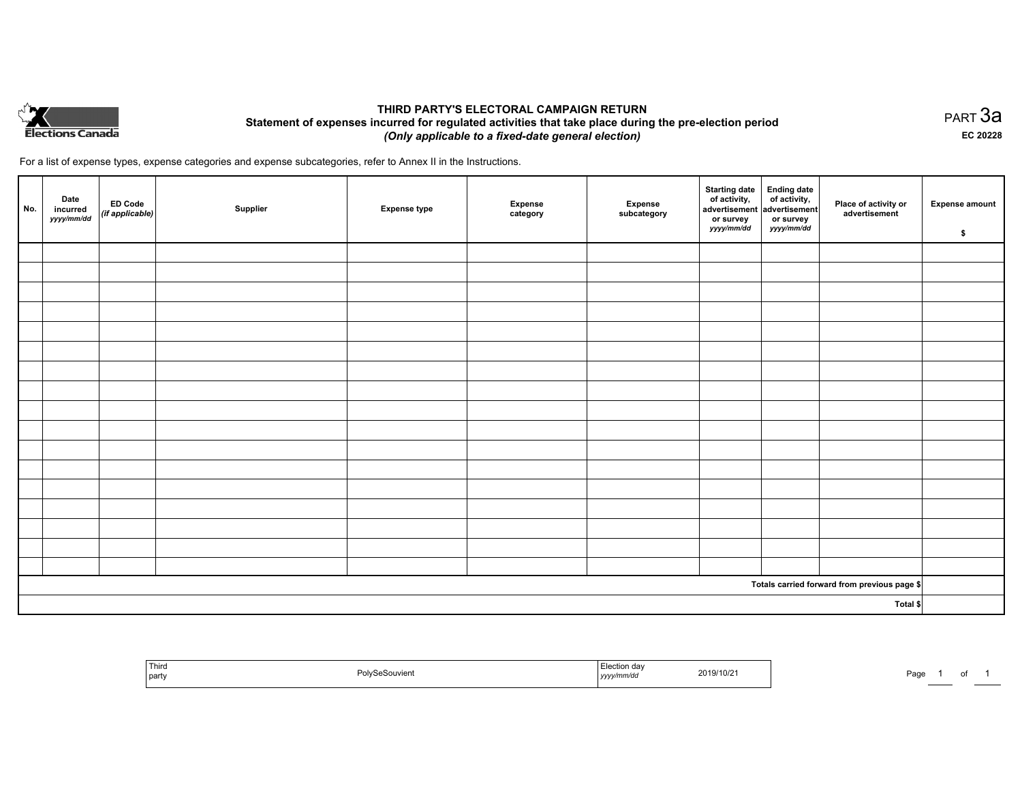

## **THIRD PARTY'S ELECTORAL CAMPAIGN RETURN Statement of expenses incurred for regulated activities that take place during the pre-election period**  *(Only applicable to a fixed-date general election)*

For a list of expense types, expense categories and expense subcategories, refer to Annex II in the Instructions.

| No.      | Date<br>incurred<br>yyyy/mm/dd | ED Code<br>(if applicable) | Supplier | <b>Expense type</b> | <b>Expense</b><br>category | Expense<br>subcategory | Starting date<br>of activity,<br>advertisement<br>advertisement<br>dvertisement<br>or survey<br>yyyy/mm/dd | or survey<br>yyyy/mm/dd | Place of activity or<br>advertisement        | <b>Expense amount</b><br>\$ |
|----------|--------------------------------|----------------------------|----------|---------------------|----------------------------|------------------------|------------------------------------------------------------------------------------------------------------|-------------------------|----------------------------------------------|-----------------------------|
|          |                                |                            |          |                     |                            |                        |                                                                                                            |                         |                                              |                             |
|          |                                |                            |          |                     |                            |                        |                                                                                                            |                         |                                              |                             |
|          |                                |                            |          |                     |                            |                        |                                                                                                            |                         |                                              |                             |
|          |                                |                            |          |                     |                            |                        |                                                                                                            |                         |                                              |                             |
|          |                                |                            |          |                     |                            |                        |                                                                                                            |                         |                                              |                             |
|          |                                |                            |          |                     |                            |                        |                                                                                                            |                         |                                              |                             |
|          |                                |                            |          |                     |                            |                        |                                                                                                            |                         |                                              |                             |
|          |                                |                            |          |                     |                            |                        |                                                                                                            |                         |                                              |                             |
|          |                                |                            |          |                     |                            |                        |                                                                                                            |                         |                                              |                             |
|          |                                |                            |          |                     |                            |                        |                                                                                                            |                         |                                              |                             |
|          |                                |                            |          |                     |                            |                        |                                                                                                            |                         |                                              |                             |
|          |                                |                            |          |                     |                            |                        |                                                                                                            |                         |                                              |                             |
|          |                                |                            |          |                     |                            |                        |                                                                                                            |                         |                                              |                             |
|          |                                |                            |          |                     |                            |                        |                                                                                                            |                         |                                              |                             |
|          |                                |                            |          |                     |                            |                        |                                                                                                            |                         |                                              |                             |
|          |                                |                            |          |                     |                            |                        |                                                                                                            |                         |                                              |                             |
|          |                                |                            |          |                     |                            |                        |                                                                                                            |                         |                                              |                             |
|          |                                |                            |          |                     |                            |                        |                                                                                                            |                         | Totals carried forward from previous page \$ |                             |
| Total \$ |                                |                            |          |                     |                            |                        |                                                                                                            |                         |                                              |                             |

| Third<br>party | Polv.<br>SeSouvient<br>. | 2019/10/2<br>yyyymmvao | Page |
|----------------|--------------------------|------------------------|------|
|----------------|--------------------------|------------------------|------|

PART 3a **EC 20228**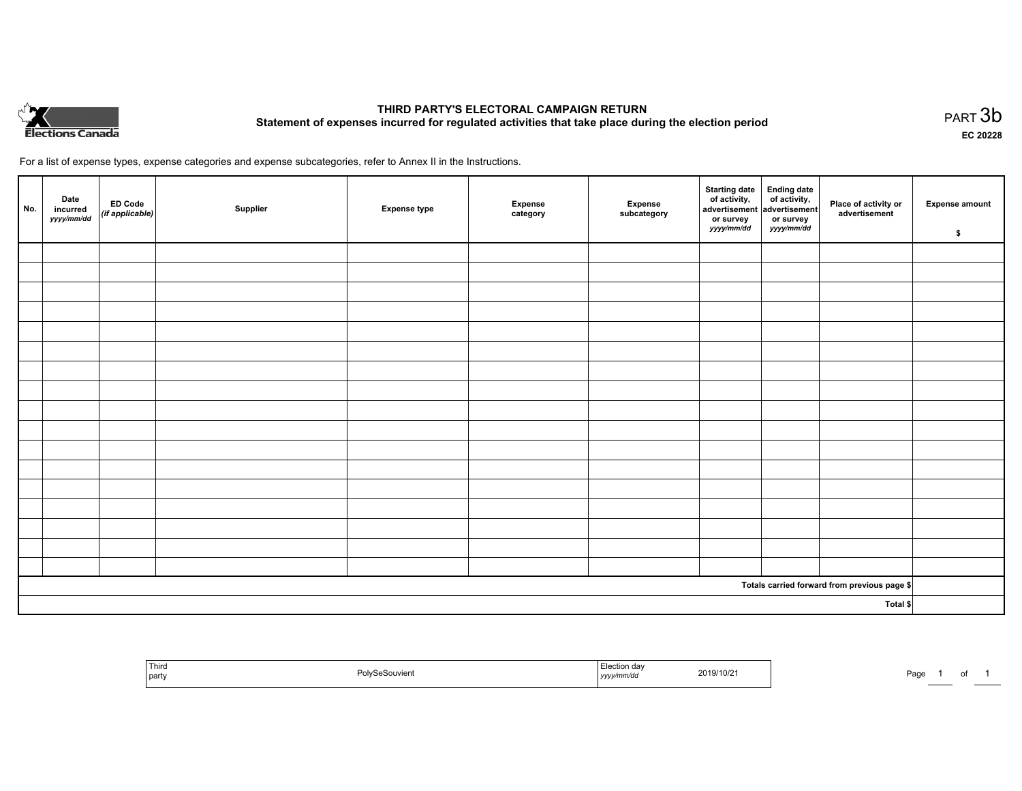

# **THIRD PARTY'S ELECTORAL CAMPAIGN RETURN Statement of expenses incurred for regulated activities that take place during the election period**<br>PART  $3b$

**EC 20228**

For a list of expense types, expense categories and expense subcategories, refer to Annex II in the Instructions.

| No.      | Date<br>incurred<br>yyyy/mm/dd | ED Code<br>(if applicable) | Supplier | <b>Expense type</b> | Expense<br>category | Expense<br>subcategory | Starting date Ending date<br>of activity, of activity,<br>advertisement advertisement<br>or survey<br>yyyy/mm/dd | or survey<br>yyyy/mm/dd | Place of activity or<br>advertisement        | <b>Expense amount</b><br>\$ |
|----------|--------------------------------|----------------------------|----------|---------------------|---------------------|------------------------|------------------------------------------------------------------------------------------------------------------|-------------------------|----------------------------------------------|-----------------------------|
|          |                                |                            |          |                     |                     |                        |                                                                                                                  |                         |                                              |                             |
|          |                                |                            |          |                     |                     |                        |                                                                                                                  |                         |                                              |                             |
|          |                                |                            |          |                     |                     |                        |                                                                                                                  |                         |                                              |                             |
|          |                                |                            |          |                     |                     |                        |                                                                                                                  |                         |                                              |                             |
|          |                                |                            |          |                     |                     |                        |                                                                                                                  |                         |                                              |                             |
|          |                                |                            |          |                     |                     |                        |                                                                                                                  |                         |                                              |                             |
|          |                                |                            |          |                     |                     |                        |                                                                                                                  |                         |                                              |                             |
|          |                                |                            |          |                     |                     |                        |                                                                                                                  |                         |                                              |                             |
|          |                                |                            |          |                     |                     |                        |                                                                                                                  |                         |                                              |                             |
|          |                                |                            |          |                     |                     |                        |                                                                                                                  |                         |                                              |                             |
|          |                                |                            |          |                     |                     |                        |                                                                                                                  |                         |                                              |                             |
|          |                                |                            |          |                     |                     |                        |                                                                                                                  |                         |                                              |                             |
|          |                                |                            |          |                     |                     |                        |                                                                                                                  |                         |                                              |                             |
|          |                                |                            |          |                     |                     |                        |                                                                                                                  |                         |                                              |                             |
|          |                                |                            |          |                     |                     |                        |                                                                                                                  |                         |                                              |                             |
|          |                                |                            |          |                     |                     |                        |                                                                                                                  |                         |                                              |                             |
|          |                                |                            |          |                     |                     |                        |                                                                                                                  |                         |                                              |                             |
|          |                                |                            |          |                     |                     |                        |                                                                                                                  |                         | Totals carried forward from previous page \$ |                             |
| Total \$ |                                |                            |          |                     |                     |                        |                                                                                                                  |                         |                                              |                             |

| Third<br>l partv | Souvien<br>,,,,, | °∩n dav<br>2019/10/2<br>.<br>נעצען | Pag |
|------------------|------------------|------------------------------------|-----|
|------------------|------------------|------------------------------------|-----|